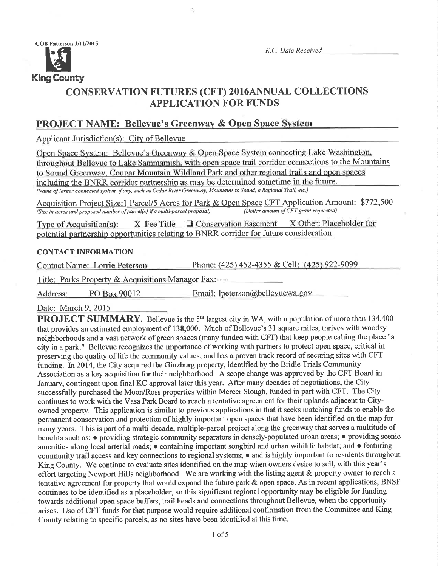

K.C. Date Received

Phone: (425) 452-4355 & Cell: (425) 922-9099

# **CONSERVATION FUTURES (CFT) 2016ANNUAL COLLECTIONS APPLICATION FOR FUNDS**

# **PROJECT NAME: Bellevue's Greenway & Open Space System**

Applicant Jurisdiction(s): City of Bellevue

Open Space System: Bellevue's Greenway & Open Space System connecting Lake Washington, throughout Bellevue to Lake Sammamish, with open space trail corridor connections to the Mountains to Sound Greenway, Cougar Mountain Wildland Park and other regional trails and open spaces including the BNRR corridor partnership as may be determined sometime in the future. (Name of larger connected system, if any, such as Cedar River Greenway, Mountains to Sound, a Regional Trail, etc.)

Acquisition Project Size:1 Parcel/5 Acres for Park & Open Space CFT Application Amount: \$772,500 (Dollar amount of CFT grant requested) (Size in acres and proposed number of parcel(s) if a multi-parcel proposal)

Type of Acquisition(s):  $X$  Fee Title  $\Box$  Conservation Easement X Other: Placeholder for potential partnership opportunities relating to BNRR corridor for future consideration.

#### **CONTACT INFORMATION**

**Contact Name: Lorrie Peterson** 

Title: Parks Property & Acquisitions Manager Fax:----

PO Box 90012 Email: lpeterson@bellevuewa.gov Address:

Date: March 9, 2015

**PROJECT SUMMARY.** Bellevue is the 5<sup>th</sup> largest city in WA, with a population of more than 134,400 that provides an estimated employment of 138,000. Much of Bellevue's 31 square miles, thrives with woodsy neighborhoods and a vast network of green spaces (many funded with CFT) that keep people calling the place "a city in a park." Bellevue recognizes the importance of working with partners to protect open space, critical in preserving the quality of life the community values, and has a proven track record of securing sites with CFT funding. In 2014, the City acquired the Ginzburg property, identified by the Bridle Trials Community Association as a key acquisition for their neighborhood. A scope change was approved by the CFT Board in January, contingent upon final KC approval later this year. After many decades of negotiations, the City successfully purchased the Moon/Ross properties within Mercer Slough, funded in part with CFT. The City continues to work with the Vasa Park Board to reach a tentative agreement for their uplands adjacent to Cityowned property. This application is similar to previous applications in that it seeks matching funds to enable the permanent conservation and protection of highly important open spaces that have been identified on the map for many years. This is part of a multi-decade, multiple-parcel project along the greenway that serves a multitude of benefits such as: • providing strategic community separators in densely-populated urban areas; • providing scenic amenities along local arterial roads; • containing important songbird and urban wildlife habitat; and • featuring community trail access and key connections to regional systems; • and is highly important to residents throughout King County. We continue to evaluate sites identified on the map when owners desire to sell, with this year's effort targeting Newport Hills neighborhood. We are working with the listing agent & property owner to reach a tentative agreement for property that would expand the future park & open space. As in recent applications, BNSF continues to be identified as a placeholder, so this significant regional opportunity may be eligible for funding towards additional open space buffers, trail heads and connections throughout Bellevue, when the opportunity arises. Use of CFT funds for that purpose would require additional confirmation from the Committee and King County relating to specific parcels, as no sites have been identified at this time.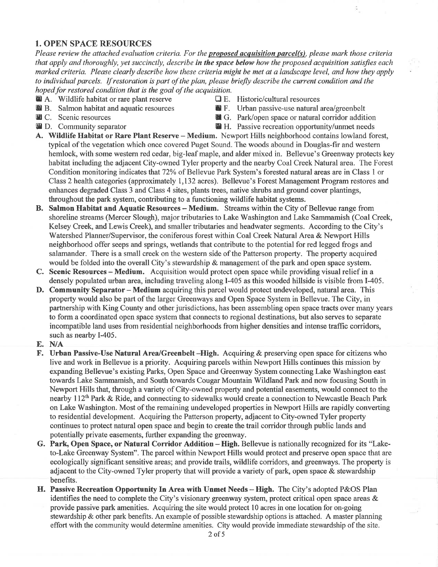## 1. OPEN SPACE RESOURCES

Please review the attached evaluation criteria. For the **proposed acquisition parcel(s)**, please mark those criteria that apply and thoroughly, yet succinctly, describe in the space below how the proposed acquisition satisfies each marked criteria. Please clearly describe how these criteria might be met at a landscape level, and how they apply to individual parcels. If restoration is part of the plan, please briefly describe the current condition and the hoped for restored condition that is the goal of the acquisition.

- **E A.** Wildlife habitat or rare plant reserve  $\Box$  E. Historic/cultural resources **E.** B. Salmon habitat and aquatic resources **E.** F. Urban passive-use natural is
- 
- 
- 
- 
- **E** F. Urban passive-use natural area/greenbelt
- **m C.** Scenic resources **A G.** Park/open space or natural corridor addition **A** D. Community separator **A** H. Passive recreation opportunity/unmet needs
	- **E** H. Passive recreation opportunity/unmet needs
- A. Wildlife Habitat or Rare Plant Reserve Medium. Newport Hills neighborhood contains lowland forest, typical of the vegetation which once covered Puget Sound. The woods abound in Douglas-fir and western hemlock, with some western red cedar, big-leaf maple, and alder mixed in. Bellevue's Greenway protects key habitat including the adjacent City-owned Tyler property and the nearby Coal Creek Natural area. The Forest Condition monitoring indicates that 72% of Bellevue Park System's forested natural areas are in Class 1 or Class 2 health categories (approximately 1,132 acres). Bellevue's Forest Management Program restores and enhances degraded Class 3 and Class 4 sites, plants trees, native shrubs and ground cover plantings, throughout the park system, contributing to a functioning wildlife habitat systems.
- B. Salmon Habitat and Aquatic Resources Medium. Streams within the City of Bellevue range from shoreline streams (Mercer Slough), major tributaries to Lake Washington and Lake Sammamish (Coal Creek, Kelsey Creek, and Lewis Creek), and smaller tributaries and headwater segments. According to the City's Watershed Planner/Supervisor, the coniferous forest within Coal Creek Natural Area & Newport Hills neighborhood offer seeps and springs, wetlands that contribute to the potential for red legged frogs and salamander. There is a small creek on the western side of the Patterson property. The property acquired would be folded into the overall City's stewardship & management of the park and open space system.
- C. Scenic Resources Medium. Acquisition would protect open space while providing visual relief in <sup>a</sup> densely populated urban area, including traveling along I-405 as this wooded hillside is visible from I-405.
- D. Community Separator Medium acquiring this parcel would protect undeveloped, natural area. This property would also be part of the larger Greenways and Open Space System in Bellevue. The City, in partnership with King County and other jurisdictions, has been assembling open space tracts over many years to form a coordinated open space system that connects to regional destinations, but also serves to separate incompatible land uses from residential neighborhoods from higher densities and intense traffic corridors, such as nearby I-405.
- E. N/A
- F. Urban Passive-Use Natural Area/Greenbelt -High. Acquiring & preserving open space for citizens who live and work in Bellevue is a priority. Acquiring parcels within Newport Hills continues this mission by expanding Bellevue's existing Parks, Open Space and Greenway System connecting Lake Washington east towards Lake Sammamish, and South towards Cougar Mountain Wildland Park and now focusing South in Newport Hills that, through a variety of City-owned property and potential easements, would connect to the nearby 112<sup>th</sup> Park & Ride, and connecting to sidewalks would create a connection to Newcastle Beach Park on Lake Washington. Most of the remaining undeveloped properties in Newport Hills are rapidly converting to residential development. Acquiring the Patterson property, adjacent to City-owned Tyler property continues to protect natural open space and begin to create the trail corridor through public lands and potentially private easements, further expanding the greenway.
- G. Park, Open Space, or Natural Corridor Addition High. Bellevue is nationally recognized for its "Laketo-Lake Greenway System". The parcel within Newport Hills would protect and preserve open space that are ecologically significant sensitive areas; and provide trails, wildlife corridors, and greenways. The property is adjacent to the City-owned Tyler property that will provide a variety of park, open space  $\&$  stewardship benefits.
- H. Passive Recreation Opportunity In Area with Unmet Needs High. The City's adopted P&OS Plan identifies the need to complete the City's visionary greenway system, protect critical open space areas  $\&$ provide passive park amenities. Acquiring the site would protect l0 acres in one location for on-going stewardship & other park benefits. An example of possible stewardship options is attached. A master planning effort with the community would determine amenities. City would provide immediate stewardship of the site.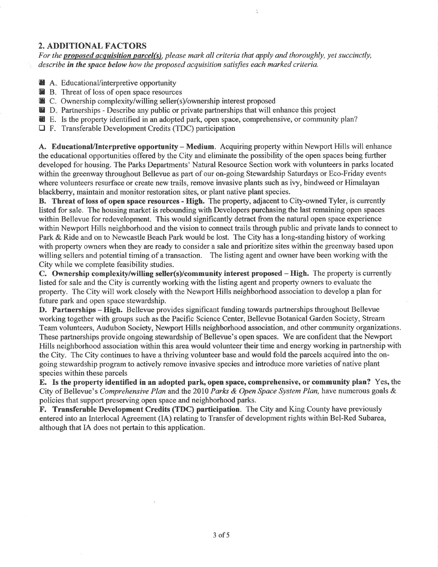## 2. ADDITIONAL FACTORS

For the **proposed acquisition parcel(s)**, please mark all criteria that apply and thoroughly, yet succinctly, describe in the space below how the proposed acquisition satisfies each marked criteria.

- **A.** Educational/interpretive opportunity
- **B.** Threat of loss of open space resources
- D. Theat of loss of open space researces
- **nD.** Partnerships Describe any public or private partnerships that will enhance this project
- E. Is the property identified in an adopted park, open space, comprehensive, or community plan?
- $\Box$  F. Transferable Development Credits (TDC) participation

A. Educational/Interpretive opportunity - Medium. Acquiring property within Newport Hills will enhance the educational opportunities offered by the City and eliminate the possibility of the open spaces being further developed for housing. The Parks Departments' Natural Resource Section work with volunteers in parks located within the greenway throughout Bellevue as part of our on-going Stewardship Saturdays or Eco-Friday events where volunteers resurface or create new trails, remove invasive plants such as ivy, bindweed or Himalayan blackberry, maintain and monitor restoration sites, or plant native plant species.

B. Threat of loss of open space resources - High. The property, adjacent to City-owned Tyler, is currently listed for sale. The housing market is rebounding with Developers purchasing the last remaining open spaces within Bellevue for redevelopment. This would significantly detract from the natural open space experience within Newport Hills neighborhood and the vision to connect trails through public and private lands to connect to Park & Ride and on to Newcastle Beach Park would be lost. The City has a long-standing history of working with property owners when they are ready to consider a sale and prioritize sites within the greenway based upon willing sellers and potential timing of a transaction. The listing agent and owner have been working with the City while we complete feasibility studies.

C. Ownership complexity/wilting seller(s)/community interest proposed - High. The property is currently listed for sale and the City is currently working with the listing agent and property owners to evaluate the property. The City will work closely with the Newport Hills neighborhood association to develop a plan for future park and open space stewardship.

D. Partnerships – High. Bellevue provides significant funding towards partnerships throughout Bellevue working together with groups such as the Pacific Science Center, Bellevue Botanical Garden Society, Stream Team volunteers, Audubon Society, Newport Hills neighborhood association, and other community organizations. These partnerships provide ongoing stewardship of Bellevue's open spaces. We are confident that the Newport Hills neighborhood association within this area would volunteer their time and energy working in partnership with the City. The City continues to have a thriving volunteer base and would fold the parcels acquired into the ongoing stewardship program to actively remove invasive species and introduce more varieties of native plant species within these parcels

E. Is the property identified in an adopted park, open space, comprehensive, or community plan? Yes, the City of Bellevue's Comprehensive Plan and the 2010 Parks & Open Space System Plan, have numerous goals & policies that support preserving open space and neighborhood parks.

F. Transferable Development Credits (TDC) participation. The City and King County have previously entered into an Interlocal Agreement (lA) relating to Transfer of development rights within Bel-Red Subarea, although that IA does not pertain to this application.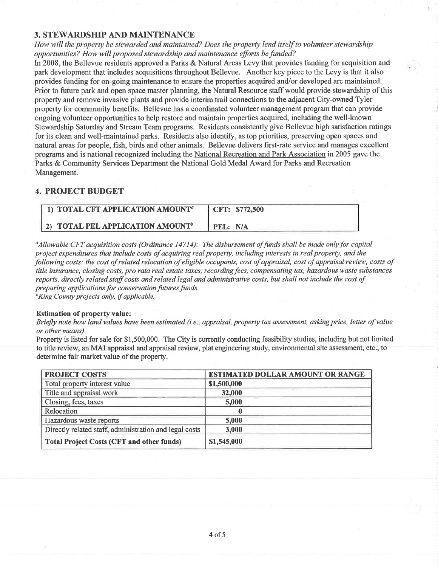#### 3. STEWARDSHIP AND MAINTENANCE

How will the property be stewarded and maintained? Does the property lend itself to volunteer stewardship opportunities? How will proposed stewardship and maintenance efforts be funded?

In 2008, the Bellevue residents approved a Parks & Natural Areas Levy that provides funding for acquisition and park development that includes acquisitions throughout Bellevue. Another key piece to the Levy is that it also provides funding for on-going maintenance to ensure the properties acquired and/or developed are maintained. Prior to future park and open space master planning, the Natural Resource staff would provide stewardship of this property and remove invasive plants and provide interim trail connections to the adjacent City-owned Tyler property for community benefits. Bellevue has a coordinated volunteer management program that can provide ongoing volunteer opportunities to help restore and maintain properties acquired, including the well-known Stewardship Saturday and Stream Team programs. Residents consistently give Bellevue high satisfaction ratings for its clean and well-maintained parks. Residents also identifu, as top priorities, preserving open spaces and natural areas for people, fish, birds and other animals. Bellevue delivers first-rate service and manages excellent programs and is national recognized including the National Recreation and Park Association in 2005 gave the Parks & Community Services Department the National Gold Medal Award for Parks and Recreation Management.

### 4. PROJECT BUDGET

| 1) TOTAL CFT APPLICATION AMOUNT <sup>a</sup> | CFT: \$772,500 |
|----------------------------------------------|----------------|
| 2) TOTAL PEL APPLICATION AMOUNT <sup>b</sup> | PFI : N/A      |

 $\alpha_A$ llowable CFT acquisition costs (Ordinance 14714): The disbursement of funds shall be made only for capital project expenditures that include costs of acquiring real property, including interests in real property, and the following costs: the cost of related relocation of eligible occupants, cost of appraisal, cost of appraisal review, costs of title insurance, closing costs, pro rata real estate taxes, recordingfees, compensating tax, hazardous waste substances reports, directly related staff costs and related legal and administrative costs, but shall not include the cost of preparing applications for conservation futures funds.<br> ${}^{b}$ King County projects only, if applicable.

#### Estimation of property value:

Briefly note how land values have been estimated (i.e., appraisal, property tax assessment, asking price, letter of value or other means).

Property is listed for sale for \$1,500,000. The City is currently conducting feasibility studies, including but not limited to title review, an MAI appraisal and appraisal review, plat engineering study, environmental site assessment, etc.; to determine fair market value of the property.

| <b>PROJECT COSTS</b>                                   | <b>ESTIMATED DOLLAR AMOUNT OR RANGE</b> |
|--------------------------------------------------------|-----------------------------------------|
| Total property interest value                          | \$1,500,000                             |
| Title and appraisal work                               | 32,000                                  |
| Closing, fees, taxes                                   | 5,000                                   |
| Relocation                                             |                                         |
| Hazardous waste reports                                | 5,000                                   |
| Directly related staff, administration and legal costs | 3,000                                   |
| <b>Total Project Costs (CFT and other funds)</b>       | \$1,545,000                             |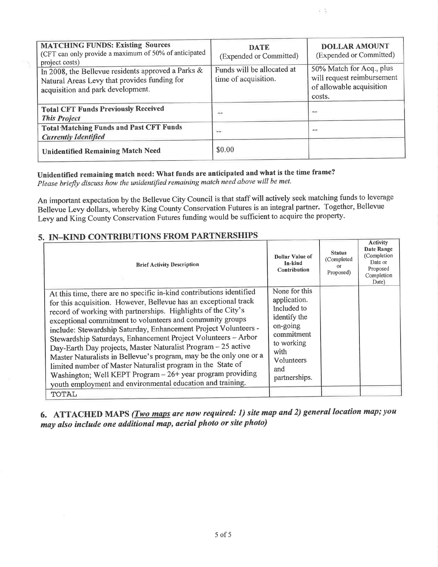| <b>MATCHING FUNDS: Existing Sources</b><br>(CFT can only provide a maximum of 50% of anticipated<br>project costs)                      | <b>DATE</b><br>(Expended or Committed)             | <b>DOLLAR AMOUNT</b><br>(Expended or Committed)                                              |
|-----------------------------------------------------------------------------------------------------------------------------------------|----------------------------------------------------|----------------------------------------------------------------------------------------------|
| In 2008, the Bellevue residents approved a Parks &<br>Natural Areas Levy that provides funding for<br>acquisition and park development. | Funds will be allocated at<br>time of acquisition. | 50% Match for Acq., plus<br>will request reimbursement<br>of allowable acquisition<br>costs. |
| <b>Total CFT Funds Previously Received</b><br><b>This Project</b>                                                                       | ÷÷                                                 | <b>Sales</b>                                                                                 |
| <b>Total Matching Funds and Past CFT Funds</b><br><b>Currently Identified</b>                                                           | $\cdots$                                           | --                                                                                           |
| <b>Unidentified Remaining Match Need</b>                                                                                                | \$0.00                                             |                                                                                              |

E S

# Unidentified remaining match need: What funds are anticipated and what is the time frame?

Please briefly discuss how the unidentified remaining match need above will be met.

An important expectation by the Bellevue City Council is that staff will actively seek matching funds to leverage Bellevue Levy dollars, whereby King County Conservation Futures is an integral partner. Together, Bellevue Levy and King County Conservation Futures funding would be sufficient to acquire the property.

# 5. IN-KIND CONTRIBUTIONS FROM PARTNERSHIPS

| . IN ANDERSTEAD CONTINUES IN THE LIBRARY OF<br><b>Brief Activity Description</b>                                                                                                                                                                                                                                                                                                                                                                                                                                                                                                                                                                                                                                                             | Dollar Value of<br>In-kind<br>Contribution                                                                                                         | <b>Status</b><br>(Completed<br>Proposed) | <b>Activity</b><br>Date Range<br>(Completion<br>Date or<br>Proposed<br>Completion<br>Date) |
|----------------------------------------------------------------------------------------------------------------------------------------------------------------------------------------------------------------------------------------------------------------------------------------------------------------------------------------------------------------------------------------------------------------------------------------------------------------------------------------------------------------------------------------------------------------------------------------------------------------------------------------------------------------------------------------------------------------------------------------------|----------------------------------------------------------------------------------------------------------------------------------------------------|------------------------------------------|--------------------------------------------------------------------------------------------|
| At this time, there are no specific in-kind contributions identified<br>for this acquisition. However, Bellevue has an exceptional track<br>record of working with partnerships. Highlights of the City's<br>exceptional commitment to volunteers and community groups<br>include: Stewardship Saturday, Enhancement Project Volunteers -<br>Stewardship Saturdays, Enhancement Project Volunteers - Arbor<br>Day-Earth Day projects, Master Naturalist Program - 25 active<br>Master Naturalists in Bellevue's program, may be the only one or a<br>limited number of Master Naturalist program in the State of<br>Washington; Well KEPT Program - 26+ year program providing<br>youth employment and environmental education and training. | None for this<br>application.<br>Included to<br>identify the<br>on-going<br>commitment<br>to working<br>with<br>Volunteers<br>and<br>partnerships. |                                          |                                                                                            |
| <b>TOTAL</b>                                                                                                                                                                                                                                                                                                                                                                                                                                                                                                                                                                                                                                                                                                                                 |                                                                                                                                                    |                                          |                                                                                            |

6. ATTACHED MAPS (*Two maps are now required: 1) site map and 2) general location map; you* may also include one additional map, aerial photo or site photo)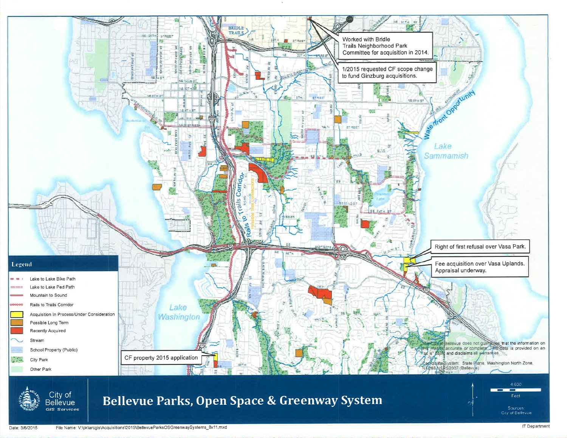